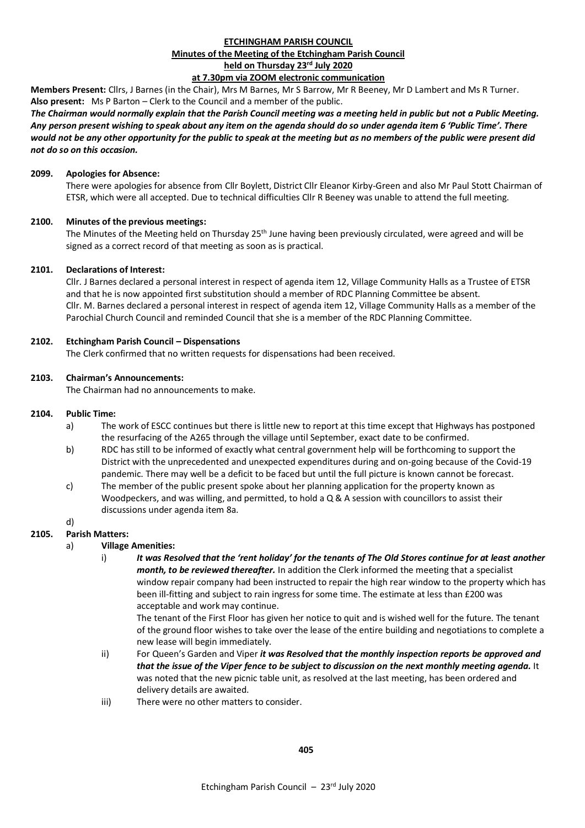## **ETCHINGHAM PARISH COUNCIL Minutes of the Meeting of the Etchingham Parish Council held on Thursday 23rd July 2020 at 7.30pm via ZOOM electronic communication**

**Members Present:** Cllrs, J Barnes (in the Chair), Mrs M Barnes, Mr S Barrow, Mr R Beeney, Mr D Lambert and Ms R Turner. **Also present:** Ms P Barton – Clerk to the Council and a member of the public.

*The Chairman would normally explain that the Parish Council meeting was a meeting held in public but not a Public Meeting. Any person present wishing to speak about any item on the agenda should do so under agenda item 6 'Public Time'. There would not be any other opportunity for the public to speak at the meeting but as no members of the public were present did not do so on this occasion.*

#### **2099. Apologies for Absence:**

There were apologies for absence from Cllr Boylett, District Cllr Eleanor Kirby-Green and also Mr Paul Stott Chairman of ETSR, which were all accepted. Due to technical difficulties Cllr R Beeney was unable to attend the full meeting.

## **2100. Minutes of the previous meetings:**

The Minutes of the Meeting held on Thursday 25<sup>th</sup> June having been previously circulated, were agreed and will be signed as a correct record of that meeting as soon as is practical.

#### **2101. Declarations of Interest:**

Cllr. J Barnes declared a personal interest in respect of agenda item 12, Village Community Halls as a Trustee of ETSR and that he is now appointed first substitution should a member of RDC Planning Committee be absent. Cllr. M. Barnes declared a personal interest in respect of agenda item 12, Village Community Halls as a member of the Parochial Church Council and reminded Council that she is a member of the RDC Planning Committee.

#### **2102. Etchingham Parish Council – Dispensations**

The Clerk confirmed that no written requests for dispensations had been received.

#### **2103. Chairman's Announcements:**

The Chairman had no announcements to make.

### **2104. Public Time:**

- a) The work of ESCC continues but there is little new to report at this time except that Highways has postponed the resurfacing of the A265 through the village until September, exact date to be confirmed.
- b) RDC has still to be informed of exactly what central government help will be forthcoming to support the District with the unprecedented and unexpected expenditures during and on-going because of the Covid-19 pandemic. There may well be a deficit to be faced but until the full picture is known cannot be forecast.
- c) The member of the public present spoke about her planning application for the property known as Woodpeckers, and was willing, and permitted, to hold a Q & A session with councillors to assist their discussions under agenda item 8a.

## d)

### **2105. Parish Matters:**

### a) **Village Amenities:**

i) *It was Resolved that the 'rent holiday' for the tenants of The Old Stores continue for at least another month, to be reviewed thereafter.* In addition the Clerk informed the meeting that a specialist window repair company had been instructed to repair the high rear window to the property which has been ill-fitting and subject to rain ingress for some time. The estimate at less than £200 was acceptable and work may continue.

The tenant of the First Floor has given her notice to quit and is wished well for the future. The tenant of the ground floor wishes to take over the lease of the entire building and negotiations to complete a new lease will begin immediately.

- ii) For Queen's Garden and Viper *it was Resolved that the monthly inspection reports be approved and that the issue of the Viper fence to be subject to discussion on the next monthly meeting agenda.* It was noted that the new picnic table unit, as resolved at the last meeting, has been ordered and delivery details are awaited.
- iii) There were no other matters to consider.

# **405**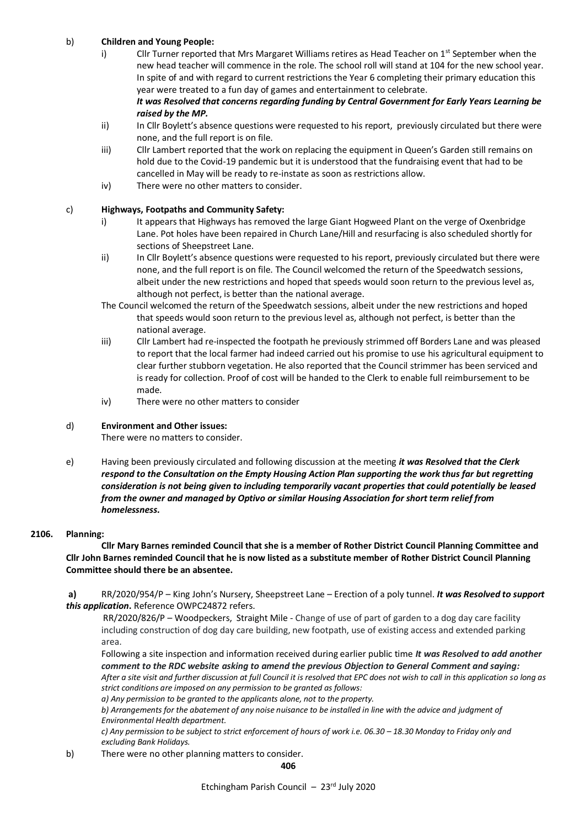# b) **Children and Young People:**

- i) Cllr Turner reported that Mrs Margaret Williams retires as Head Teacher on 1<sup>st</sup> September when the new head teacher will commence in the role. The school roll will stand at 104 for the new school year. In spite of and with regard to current restrictions the Year 6 completing their primary education this year were treated to a fun day of games and entertainment to celebrate. *It was Resolved that concerns regarding funding by Central Government for Early Years Learning be*
- *raised by the MP.* ii) In Cllr Boylett's absence questions were requested to his report, previously circulated but there were none, and the full report is on file.
- iii) Cllr Lambert reported that the work on replacing the equipment in Queen's Garden still remains on hold due to the Covid-19 pandemic but it is understood that the fundraising event that had to be cancelled in May will be ready to re-instate as soon as restrictions allow.
- iv) There were no other matters to consider.

# c) **Highways, Footpaths and Community Safety:**

- i) It appears that Highways has removed the large Giant Hogweed Plant on the verge of Oxenbridge Lane. Pot holes have been repaired in Church Lane/Hill and resurfacing is also scheduled shortly for sections of Sheepstreet Lane.
- ii) In Cllr Boylett's absence questions were requested to his report, previously circulated but there were none, and the full report is on file. The Council welcomed the return of the Speedwatch sessions, albeit under the new restrictions and hoped that speeds would soon return to the previous level as, although not perfect, is better than the national average.
- The Council welcomed the return of the Speedwatch sessions, albeit under the new restrictions and hoped that speeds would soon return to the previous level as, although not perfect, is better than the national average.
- iii) Cllr Lambert had re-inspected the footpath he previously strimmed off Borders Lane and was pleased to report that the local farmer had indeed carried out his promise to use his agricultural equipment to clear further stubborn vegetation. He also reported that the Council strimmer has been serviced and is ready for collection. Proof of cost will be handed to the Clerk to enable full reimbursement to be made.
- iv) There were no other matters to consider

## d) **Environment and Other issues:**

There were no matters to consider.

e) Having been previously circulated and following discussion at the meeting *it was Resolved that the Clerk respond to the Consultation on the Empty Housing Action Plan supporting the work thus far but regretting consideration is not being given to including temporarily vacant properties that could potentially be leased from the owner and managed by Optivo or similar Housing Association for short term relief from homelessness.*

## **2106. Planning:**

**Cllr Mary Barnes reminded Council that she is a member of Rother District Council Planning Committee and Cllr John Barnes reminded Council that he is now listed as a substitute member of Rother District Council Planning Committee should there be an absentee.**

**a)** RR/2020/954/P – King John's Nursery, Sheepstreet Lane – Erection of a poly tunnel. *It was Resolved to support this application***.** Reference OWPC24872 refers.

RR/2020/826/P – Woodpeckers, Straight Mile - Change of use of part of garden to a dog day care facility including construction of dog day care building, new footpath, use of existing access and extended parking area.

Following a site inspection and information received during earlier public time *It was Resolved to add another comment to the RDC website asking to amend the previous Objection to General Comment and saying: After a site visit and further discussion at full Council it is resolved that EPC does not wish to call in this application so long as strict conditions are imposed on any permission to be granted as follows:*

*a) Any permission to be granted to the applicants alone, not to the property.*

*b) Arrangements for the abatement of any noise nuisance to be installed in line with the advice and judgment of Environmental Health department.*

*c*) Any permission to be subject to strict enforcement of hours of work i.e. 06.30 – 18.30 Monday to Friday only and *excluding Bank Holidays.*

b) There were no other planning matters to consider.

**406**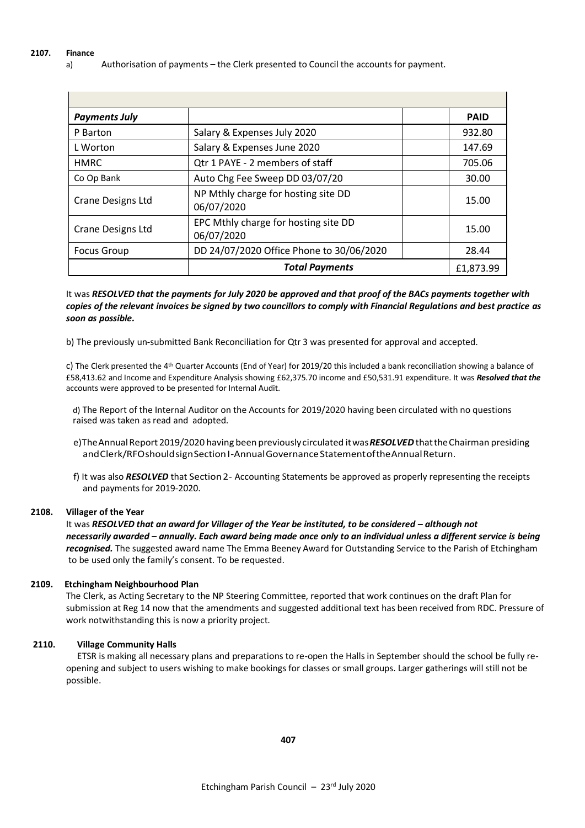a) Authorisation of payments **–** the Clerk presented to Council the accounts for payment.

| <b>Payments July</b>     |                                                    | <b>PAID</b> |
|--------------------------|----------------------------------------------------|-------------|
| P Barton                 | Salary & Expenses July 2020                        | 932.80      |
| L Worton                 | Salary & Expenses June 2020                        | 147.69      |
| <b>HMRC</b>              | Qtr 1 PAYE - 2 members of staff                    | 705.06      |
| Co Op Bank               | Auto Chg Fee Sweep DD 03/07/20                     | 30.00       |
| <b>Crane Designs Ltd</b> | NP Mthly charge for hosting site DD<br>06/07/2020  | 15.00       |
| <b>Crane Designs Ltd</b> | EPC Mthly charge for hosting site DD<br>06/07/2020 | 15.00       |
| <b>Focus Group</b>       | DD 24/07/2020 Office Phone to 30/06/2020           | 28.44       |
|                          | <b>Total Payments</b>                              | £1.873.99   |

It was *RESOLVED that the payments for July 2020 be approved and that proof of the BACs payments together with copies of the relevant invoices be signed by two councillors to comply with Financial Regulations and best practice as soon as possible.*

b) The previously un-submitted Bank Reconciliation for Qtr 3 was presented for approval and accepted.

c) The Clerk presented the 4<sup>th</sup> Quarter Accounts (End of Year) for 2019/20 this included a bank reconciliation showing a balance of £58,413.62 and Income and Expenditure Analysis showing £62,375.70 income and £50,531.91 expenditure. It was *Resolved that the*  accounts were approved to be presented for Internal Audit.

d) The Report of the Internal Auditor on the Accounts for 2019/2020 having been circulated with no questions raised was taken as read and adopted.

- e)The Annual Report 2019/2020 having been previously circulated it was **RESOLVED** that the Chairman presiding andClerk/RFOshouldsignSection I-AnnualGovernanceStatementoftheAnnualReturn.
- f) It was also **RESOLVED** that Section 2- Accounting Statements be approved as properly representing the receipts and payments for 2019-2020.

### **2108. Villager of the Year**

It was *RESOLVED that an award for Villager of the Year be instituted, to be considered – although not necessarily awarded – annually. Each award being made once only to an individual unless a different service is being recognised.* The suggested award name The Emma Beeney Award for Outstanding Service to the Parish of Etchingham to be used only the family's consent. To be requested.

### **2109. Etchingham Neighbourhood Plan**

The Clerk, as Acting Secretary to the NP Steering Committee, reported that work continues on the draft Plan for submission at Reg 14 now that the amendments and suggested additional text has been received from RDC. Pressure of work notwithstanding this is now a priority project.

# **2110. Village Community Halls**

ETSR is making all necessary plans and preparations to re-open the Halls in September should the school be fully reopening and subject to users wishing to make bookings for classes or small groups. Larger gatherings will still not be possible.

**407**